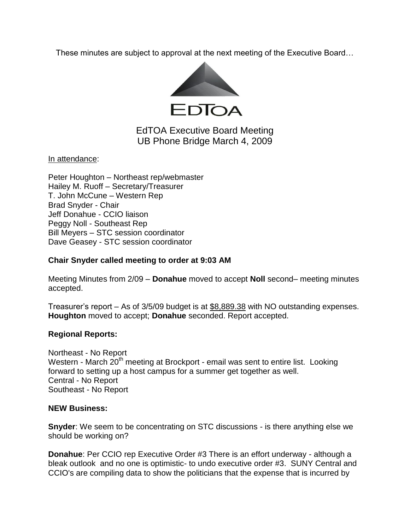These minutes are subject to approval at the next meeting of the Executive Board…



# EdTOA Executive Board Meeting UB Phone Bridge March 4, 2009

In attendance:

Peter Houghton – Northeast rep/webmaster Hailey M. Ruoff – Secretary/Treasurer T. John McCune – Western Rep Brad Snyder - Chair Jeff Donahue - CCIO liaison Peggy Noll - Southeast Rep Bill Meyers – STC session coordinator Dave Geasey - STC session coordinator

### **Chair Snyder called meeting to order at 9:03 AM**

Meeting Minutes from 2/09 – **Donahue** moved to accept **Noll** second– meeting minutes accepted.

Treasurer's report – As of 3/5/09 budget is at \$8,889.38 with NO outstanding expenses. **Houghton** moved to accept; **Donahue** seconded. Report accepted.

## **Regional Reports:**

Northeast - No Report Western - March 20<sup>th</sup> meeting at Brockport - email was sent to entire list. Looking forward to setting up a host campus for a summer get together as well. Central - No Report Southeast - No Report

## **NEW Business:**

**Snyder**: We seem to be concentrating on STC discussions - is there anything else we should be working on?

**Donahue**: Per CCIO rep Executive Order #3 There is an effort underway - although a bleak outlook and no one is optimistic- to undo executive order #3. SUNY Central and CCIO's are compiling data to show the politicians that the expense that is incurred by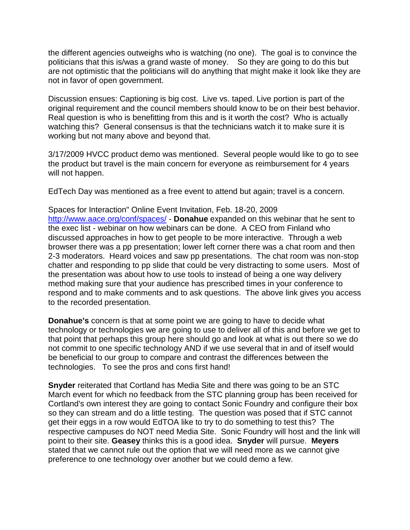the different agencies outweighs who is watching (no one). The goal is to convince the politicians that this is/was a grand waste of money. So they are going to do this but are not optimistic that the politicians will do anything that might make it look like they are not in favor of open government.

Discussion ensues: Captioning is big cost. Live vs. taped. Live portion is part of the original requirement and the council members should know to be on their best behavior. Real question is who is benefitting from this and is it worth the cost? Who is actually watching this? General consensus is that the technicians watch it to make sure it is working but not many above and beyond that.

3/17/2009 HVCC product demo was mentioned. Several people would like to go to see the product but travel is the main concern for everyone as reimbursement for 4 years will not happen.

EdTech Day was mentioned as a free event to attend but again; travel is a concern.

Spaces for Interaction" Online Event Invitation, Feb. 18-20, 2009 <http://www.aace.org/conf/spaces/> - **Donahue** expanded on this webinar that he sent to the exec list - webinar on how webinars can be done. A CEO from Finland who discussed approaches in how to get people to be more interactive. Through a web browser there was a pp presentation; lower left corner there was a chat room and then 2-3 moderators. Heard voices and saw pp presentations. The chat room was non-stop chatter and responding to pp slide that could be very distracting to some users. Most of the presentation was about how to use tools to instead of being a one way delivery method making sure that your audience has prescribed times in your conference to respond and to make comments and to ask questions. The above link gives you access to the recorded presentation.

**Donahue's** concern is that at some point we are going to have to decide what technology or technologies we are going to use to deliver all of this and before we get to that point that perhaps this group here should go and look at what is out there so we do not commit to one specific technology AND if we use several that in and of itself would be beneficial to our group to compare and contrast the differences between the technologies. To see the pros and cons first hand!

**Snyder** reiterated that Cortland has Media Site and there was going to be an STC March event for which no feedback from the STC planning group has been received for Cortland's own interest they are going to contact Sonic Foundry and configure their box so they can stream and do a little testing. The question was posed that if STC cannot get their eggs in a row would EdTOA like to try to do something to test this? The respective campuses do NOT need Media Site. Sonic Foundry will host and the link will point to their site. **Geasey** thinks this is a good idea. **Snyder** will pursue. **Meyers** stated that we cannot rule out the option that we will need more as we cannot give preference to one technology over another but we could demo a few.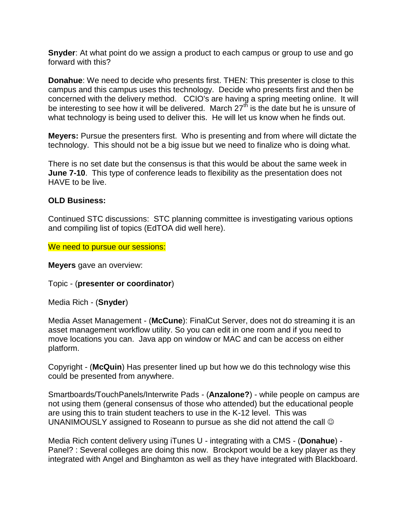**Snyder**: At what point do we assign a product to each campus or group to use and go forward with this?

**Donahue**: We need to decide who presents first. THEN: This presenter is close to this campus and this campus uses this technology. Decide who presents first and then be concerned with the delivery method. CCIO's are having a spring meeting online. It will be interesting to see how it will be delivered. March  $27<sup>th</sup>$  is the date but he is unsure of what technology is being used to deliver this. He will let us know when he finds out.

**Meyers:** Pursue the presenters first. Who is presenting and from where will dictate the technology. This should not be a big issue but we need to finalize who is doing what.

There is no set date but the consensus is that this would be about the same week in **June 7-10**. This type of conference leads to flexibility as the presentation does not HAVE to be live.

## **OLD Business:**

Continued STC discussions: STC planning committee is investigating various options and compiling list of topics (EdTOA did well here).

We need to pursue our sessions:

**Meyers** gave an overview:

Topic - (**presenter or coordinator**)

Media Rich - (**Snyder**)

Media Asset Management - (**McCune**): FinalCut Server, does not do streaming it is an asset management workflow utility. So you can edit in one room and if you need to move locations you can. Java app on window or MAC and can be access on either platform.

Copyright - (**McQuin**) Has presenter lined up but how we do this technology wise this could be presented from anywhere.

Smartboards/TouchPanels/Interwrite Pads - (**Anzalone?**) - while people on campus are not using them (general consensus of those who attended) but the educational people are using this to train student teachers to use in the K-12 level. This was UNANIMOUSLY assigned to Roseann to pursue as she did not attend the call

Media Rich content delivery using iTunes U - integrating with a CMS - (**Donahue**) - Panel? : Several colleges are doing this now. Brockport would be a key player as they integrated with Angel and Binghamton as well as they have integrated with Blackboard.